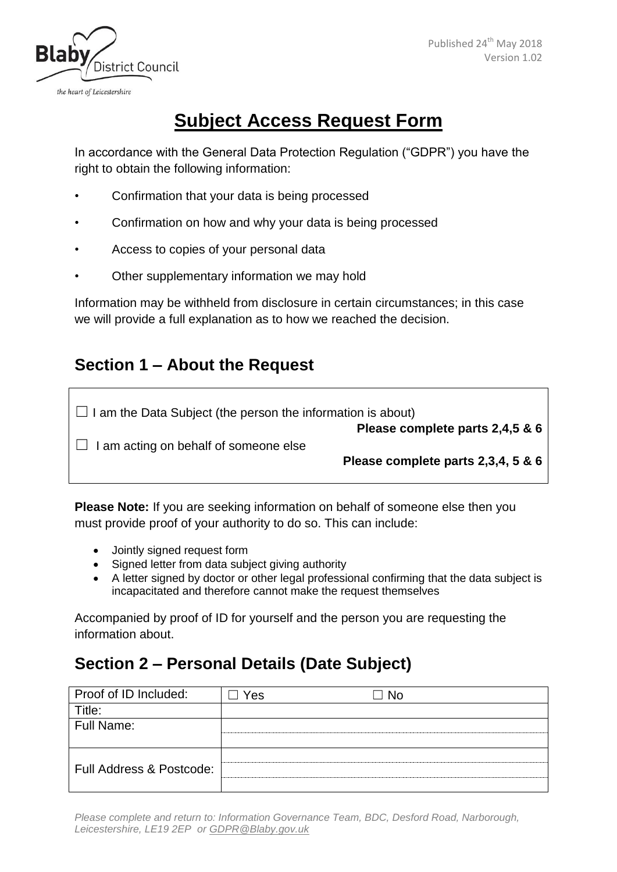

# **Subject Access Request Form**

In accordance with the General Data Protection Regulation ("GDPR") you have the right to obtain the following information:

- Confirmation that your data is being processed
- Confirmation on how and why your data is being processed
- Access to copies of your personal data
- Other supplementary information we may hold

Information may be withheld from disclosure in certain circumstances; in this case we will provide a full explanation as to how we reached the decision.

#### **Section 1 – About the Request**

| $\Box$ I am the Data Subject (the person the information is about) |                                    |
|--------------------------------------------------------------------|------------------------------------|
|                                                                    | Please complete parts 2,4,5 & 6    |
| $\Box$ I am acting on behalf of someone else                       |                                    |
|                                                                    | Please complete parts 2,3,4, 5 & 6 |
|                                                                    |                                    |

**Please Note:** If you are seeking information on behalf of someone else then you must provide proof of your authority to do so. This can include:

- Jointly signed request form
- Signed letter from data subject giving authority
- A letter signed by doctor or other legal professional confirming that the data subject is incapacitated and therefore cannot make the request themselves

Accompanied by proof of ID for yourself and the person you are requesting the information about.

## **Section 2 – Personal Details (Date Subject)**

| Proof of ID Included:    | Yes | -No |
|--------------------------|-----|-----|
| Title:                   |     |     |
| Full Name:               |     |     |
|                          |     |     |
| Full Address & Postcode: |     |     |

*Please complete and return to: Information Governance Team, BDC, Desford Road, Narborough, Leicestershire, LE19 2EP or [GDPR@Blaby.gov.uk](mailto:GDPR@Blaby.gov.uk)*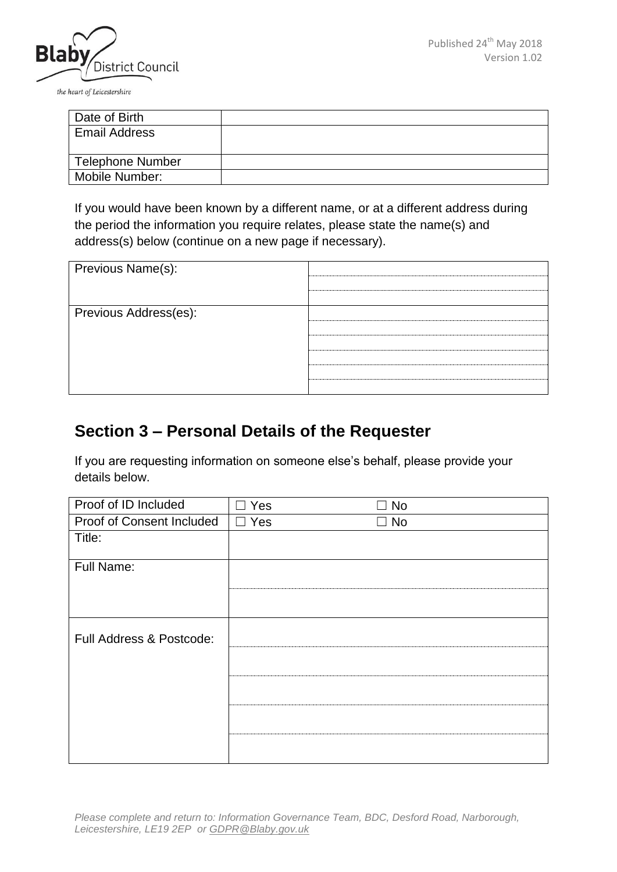

the heart of Leicestershire

| Date of Birth           |  |
|-------------------------|--|
| <b>Email Address</b>    |  |
|                         |  |
| <b>Telephone Number</b> |  |
| Mobile Number:          |  |

If you would have been known by a different name, or at a different address during the period the information you require relates, please state the name(s) and address(s) below (continue on a new page if necessary).

| Previous Name(s):     |  |
|-----------------------|--|
|                       |  |
| Previous Address(es): |  |
|                       |  |
|                       |  |
|                       |  |
|                       |  |

#### **Section 3 – Personal Details of the Requester**

If you are requesting information on someone else's behalf, please provide your details below.

| Proof of ID Included      | Yes        | No        |
|---------------------------|------------|-----------|
| Proof of Consent Included | $\Box$ Yes | $\Box$ No |
| Title:                    |            |           |
| Full Name:                |            |           |
|                           |            |           |
| Full Address & Postcode:  |            |           |
|                           |            |           |
|                           |            |           |
|                           |            |           |
|                           |            |           |

*Please complete and return to: Information Governance Team, BDC, Desford Road, Narborough, Leicestershire, LE19 2EP or [GDPR@Blaby.gov.uk](mailto:GDPR@Blaby.gov.uk)*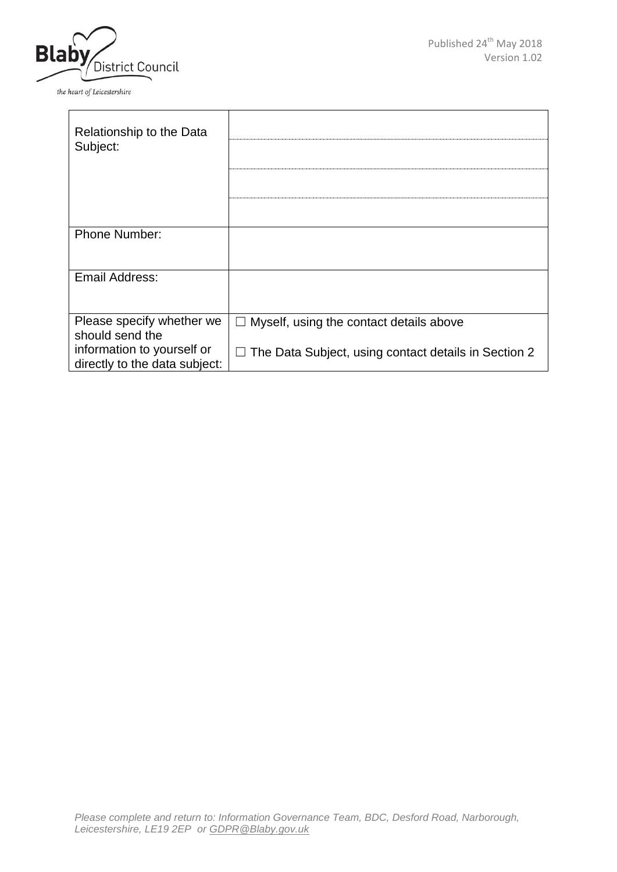

the heart of Leicestershire

| Relationship to the Data<br>Subject:                        |                                                             |
|-------------------------------------------------------------|-------------------------------------------------------------|
|                                                             |                                                             |
|                                                             |                                                             |
| <b>Phone Number:</b>                                        |                                                             |
| Email Address:                                              |                                                             |
| Please specify whether we<br>should send the                | Myself, using the contact details above<br>$\perp$          |
| information to yourself or<br>directly to the data subject: | $\Box$ The Data Subject, using contact details in Section 2 |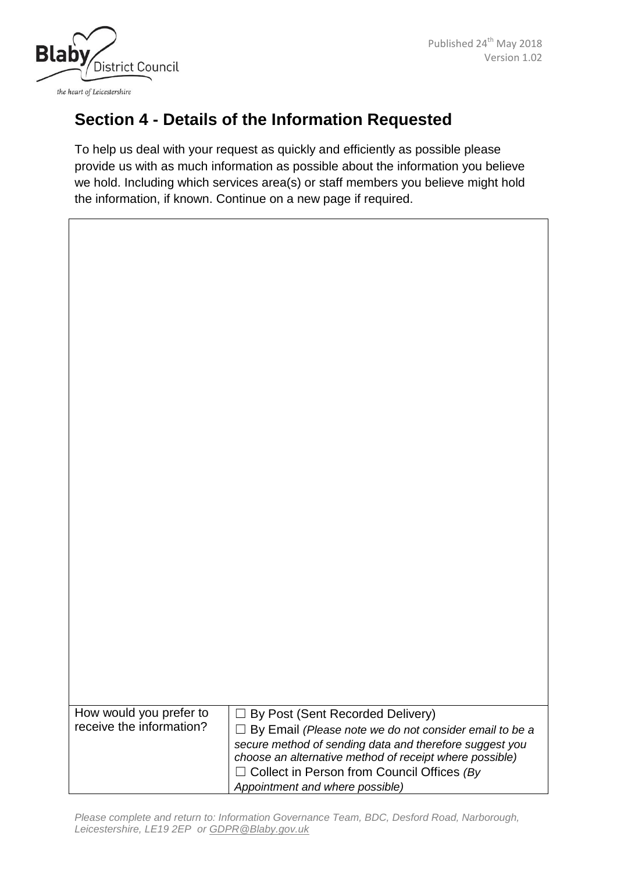



## **Section 4 - Details of the Information Requested**

To help us deal with your request as quickly and efficiently as possible please provide us with as much information as possible about the information you believe we hold. Including which services area(s) or staff members you believe might hold the information, if known. Continue on a new page if required.

| How would you prefer to  | □ By Post (Sent Recorded Delivery)                                                                                 |
|--------------------------|--------------------------------------------------------------------------------------------------------------------|
| receive the information? | By Email (Please note we do not consider email to be a<br>$\perp$                                                  |
|                          | secure method of sending data and therefore suggest you<br>choose an alternative method of receipt where possible) |
|                          | $\Box$ Collect in Person from Council Offices (By<br>Appointment and where possible)                               |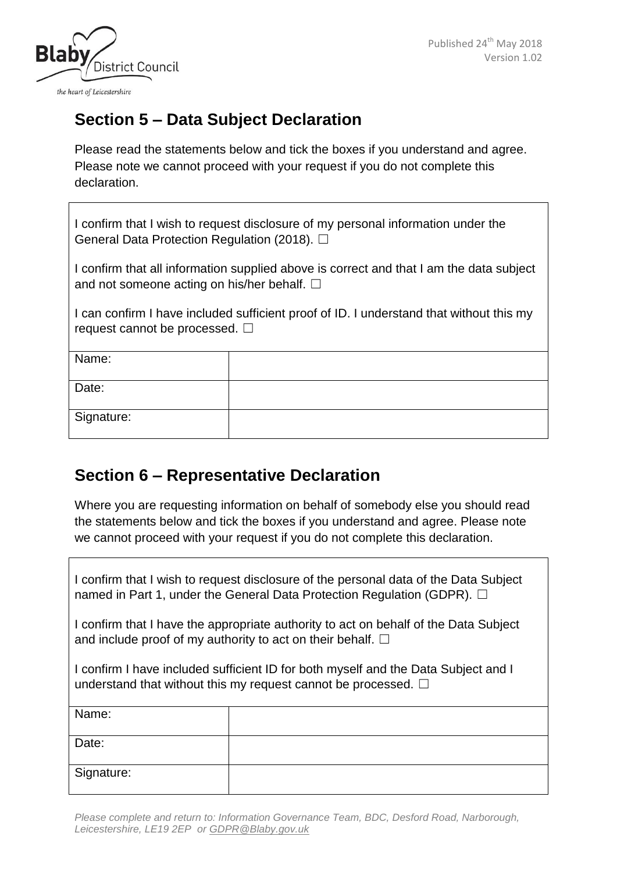

## **Section 5 – Data Subject Declaration**

Please read the statements below and tick the boxes if you understand and agree. Please note we cannot proceed with your request if you do not complete this declaration.

I confirm that I wish to request disclosure of my personal information under the General Data Protection Regulation (2018). □

I confirm that all information supplied above is correct and that I am the data subject and not someone acting on his/her behalf.  $□$ 

I can confirm I have included sufficient proof of ID. I understand that without this my request cannot be processed.  $\Box$ 

| Name:      |  |
|------------|--|
| Date:      |  |
| Signature: |  |

#### **Section 6 – Representative Declaration**

Where you are requesting information on behalf of somebody else you should read the statements below and tick the boxes if you understand and agree. Please note we cannot proceed with your request if you do not complete this declaration.

I confirm that I wish to request disclosure of the personal data of the Data Subject named in Part 1, under the General Data Protection Regulation (GDPR). □

I confirm that I have the appropriate authority to act on behalf of the Data Subject and include proof of my authority to act on their behalf.  $\Box$ 

I confirm I have included sufficient ID for both myself and the Data Subject and I understand that without this my request cannot be processed.  $\Box$ 

| Name:      |  |
|------------|--|
| Date:      |  |
| Signature: |  |